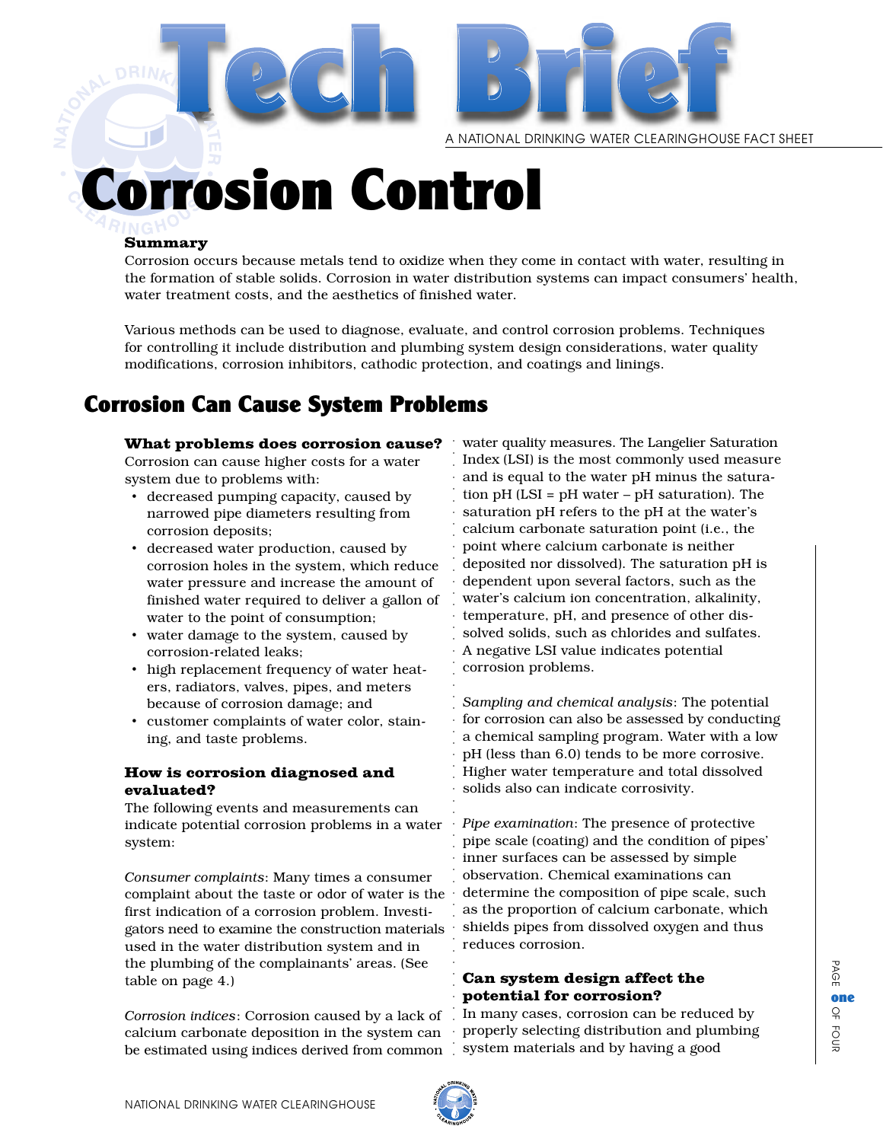

A NATIONAL DRINKING WATER CLEARINGHOUSE FACT SHEET

# orrosion Control

#### Summary

Corrosion occurs because metals tend to oxidize when they come in contact with water, resulting in the formation of stable solids. Corrosion in water distribution systems can impact consumers' health, water treatment costs, and the aesthetics of finished water.

Various methods can be used to diagnose, evaluate, and control corrosion problems. Techniques for controlling it include distribution and plumbing system design considerations, water quality modifications, corrosion inhibitors, cathodic protection, and coatings and linings.

# .<br>.<br>. Corrosion Can Cause System Problems

What problems does corrosion cause?

Corrosion can cause higher costs for a water system due to problems with:

- decreased pumping capacity, caused by narrowed pipe diameters resulting from corrosion deposits;
- decreased water production, caused by corrosion holes in the system, which reduce water pressure and increase the amount of finished water required to deliver a gallon of water to the point of consumption;
- water damage to the system, caused by corrosion-related leaks;
- high replacement frequency of water heaters, radiators, valves, pipes, and meters because of corrosion damage; and
- customer complaints of water color, staining, and taste problems.

#### How is corrosion diagnosed and evaluated?

The following events and measurements can indicate potential corrosion problems in a water system:

*Consumer complaints*: Many times a consumer complaint about the taste or odor of water is the first indication of a corrosion problem. Investigators need to examine the construction materials used in the water distribution system and in the plumbing of the complainants' areas. (See table on page 4.)

*Corrosion indices*: Corrosion caused by a lack of calcium carbonate deposition in the system can be estimated using indices derived from common

water quality measures. The Langelier Saturation Index (LSI) is the most commonly used measure and is equal to the water pH minus the saturation pH (LSI = pH water – pH saturation). The saturation pH refers to the pH at the water's calcium carbonate saturation point (i.e., the point where calcium carbonate is neither deposited nor dissolved). The saturation pH is dependent upon several factors, such as the water's calcium ion concentration, alkalinity, temperature, pH, and presence of other dissolved solids, such as chlorides and sulfates. A negative LSI value indicates potential corrosion problems.

*Sampling and chemical analysis*: The potential for corrosion can also be assessed by conducting a chemical sampling program. Water with a low pH (less than 6.0) tends to be more corrosive. Higher water temperature and total dissolved solids also can indicate corrosivity.

*Pipe examination*: The presence of protective pipe scale (coating) and the condition of pipes' inner surfaces can be assessed by simple observation. Chemical examinations can determine the composition of pipe scale, such as the proportion of calcium carbonate, which shields pipes from dissolved oxygen and thus reduces corrosion.

#### Can system design affect the potential for corrosion?

In many cases, corrosion can be reduced by properly selecting distribution and plumbing system materials and by having a good



aaaaaaaaaaaaaaaaaaaaaaaaaaaaaaaaaaaaaaaaaaaaaaaaaaa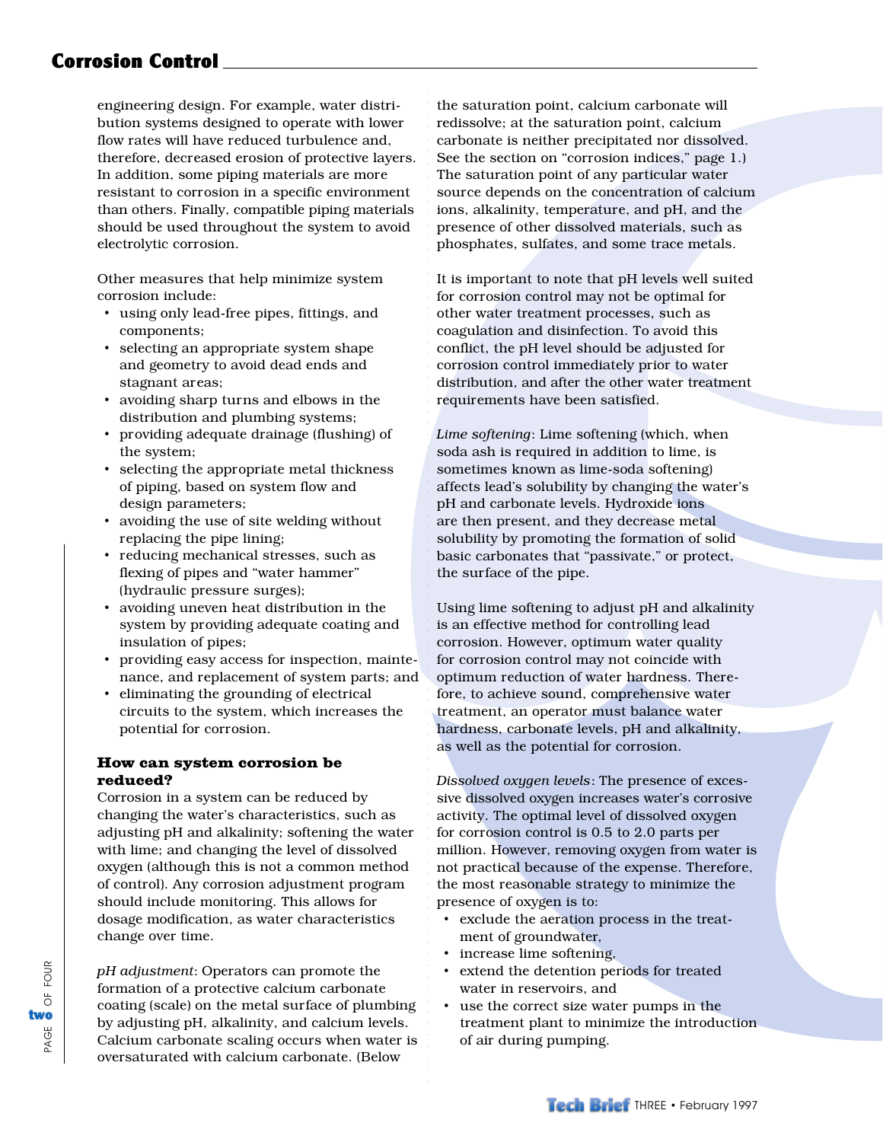## Corrosion Control

engineering design. For example, water distribution systems designed to operate with lower flow rates will have reduced turbulence and, therefore, decreased erosion of protective layers. In addition, some piping materials are more resistant to corrosion in a specific environment than others. Finally, compatible piping materials should be used throughout the system to avoid electrolytic corrosion.

Other measures that help minimize system corrosion include:

- using only lead-free pipes, fittings, and components;
- selecting an appropriate system shape and geometry to avoid dead ends and stagnant areas;
- avoiding sharp turns and elbows in the distribution and plumbing systems;
- providing adequate drainage (flushing) of the system;
- selecting the appropriate metal thickness of piping, based on system flow and design parameters;
- avoiding the use of site welding without replacing the pipe lining;
- reducing mechanical stresses, such as flexing of pipes and "water hammer" (hydraulic pressure surges);
- avoiding uneven heat distribution in the system by providing adequate coating and insulation of pipes;
- providing easy access for inspection, maintenance, and replacement of system parts; and
- eliminating the grounding of electrical circuits to the system, which increases the potential for corrosion.

#### How can system corrosion be reduced?

Corrosion in a system can be reduced by changing the water's characteristics, such as adjusting pH and alkalinity; softening the water with lime; and changing the level of dissolved oxygen (although this is not a common method of control). Any corrosion adjustment program should include monitoring. This allows for dosage modification, as water characteristics change over time.

*pH adjustment*: Operators can promote the formation of a protective calcium carbonate coating (scale) on the metal surface of plumbing by adjusting pH, alkalinity, and calcium levels. Calcium carbonate scaling occurs when water is oversaturated with calcium carbonate. (Below

the saturation point, calcium carbonate will redissolve; at the saturation point, calcium carbonate is neither precipitated nor dissolved. See the section on "corrosion indices," page 1.) The saturation point of any particular water source depends on the concentration of calcium ions, alkalinity, temperature, and pH, and the presence of other dissolved materials, such as phosphates, sulfates, and some trace metals.

aaaaaaaaaaaaaa

aaaaaaaaaaaaaaaaaaaaaaaaaaaaaaaaaaaaaaaaaaaaaaaaaaaaaaaaaaaaaaaaaaaaaaaa

It is important to note that pH levels well suited for corrosion control may not be optimal for other water treatment processes, such as coagulation and disinfection. To avoid this conflict, the pH level should be adjusted for corrosion control immediately prior to water distribution, and after the other water treatment requirements have been satisfied.

*Lime softening*: Lime softening (which, when soda ash is required in addition to lime, is sometimes known as lime-soda softening) affects lead's solubility by changing the water's pH and carbonate levels. Hydroxide ions are then present, and they decrease metal solubility by promoting the formation of solid basic carbonates that "passivate," or protect, the surface of the pipe.

Using lime softening to adjust pH and alkalinity is an effective method for controlling lead corrosion. However, optimum water quality for corrosion control may not coincide with optimum reduction of water hardness. Therefore, to achieve sound, comprehensive water treatment, an operator must balance water hardness, carbonate levels, pH and alkalinity, as well as the potential for corrosion.

*Dissolved oxygen levels*: The presence of excessive dissolved oxygen increases water's corrosive activity. The optimal level of dissolved oxygen for corrosion control is 0.5 to 2.0 parts per million. However, removing oxygen from water is not practical because of the expense. Therefore, the most reasonable strategy to minimize the presence of oxygen is to:

- exclude the aeration process in the treatment of groundwater,
- increase lime softening,
- extend the detention periods for treated water in reservoirs, and
- use the correct size water pumps in the treatment plant to minimize the introduction of air during pumping.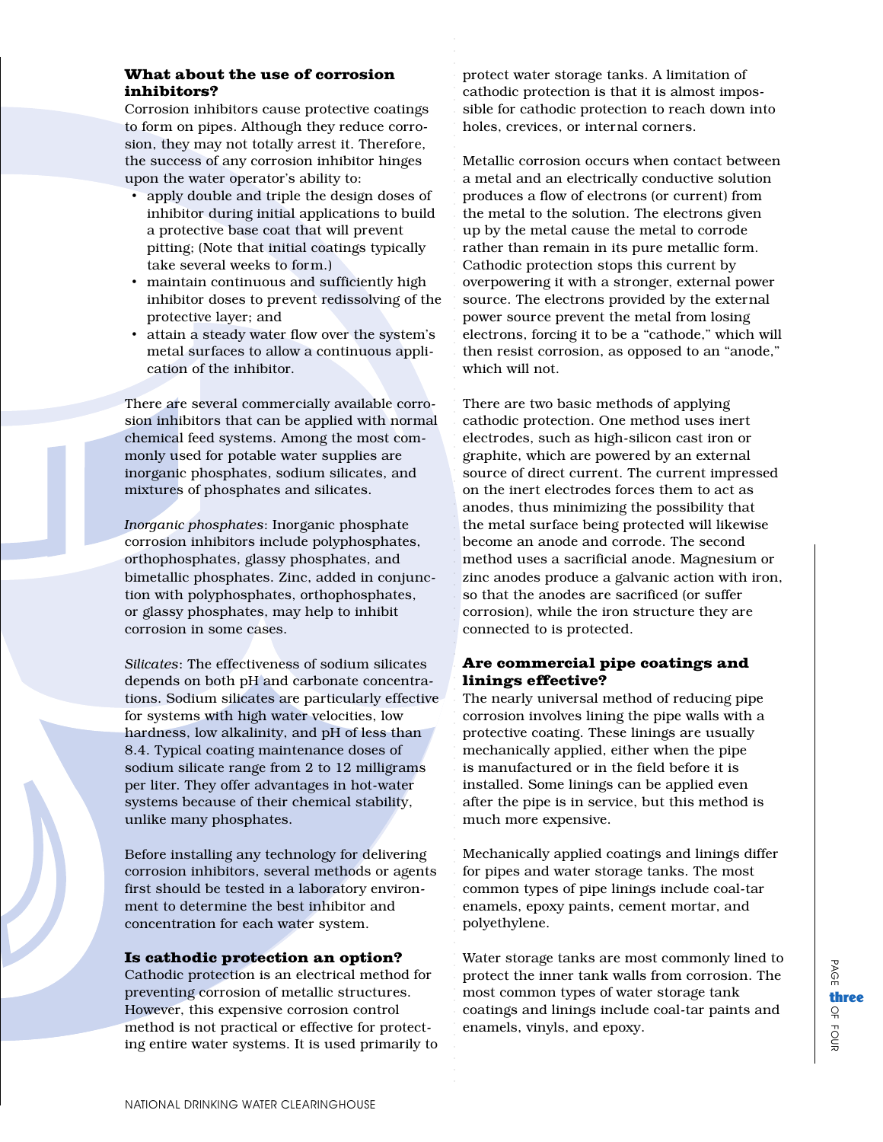#### What about the use of corrosion inhibitors?

Corrosion inhibitors cause protective coatings to form on pipes. Although they reduce corrosion, they may not totally arrest it. Therefore, the success of any corrosion inhibitor hinges upon the water operator's ability to:

- apply double and triple the design doses of inhibitor during initial applications to build a protective base coat that will prevent pitting; (Note that initial coatings typically take several weeks to form.)
- maintain continuous and sufficiently high inhibitor doses to prevent redissolving of the protective layer; and
- attain a steady water flow over the system's metal surfaces to allow a continuous application of the inhibitor.

There are several commercially available corrosion inhibitors that can be applied with normal chemical feed systems. Among the most commonly used for potable water supplies are inorganic phosphates, sodium silicates, and mixtures of phosphates and silicates.

*Inorganic phosphates*: Inorganic phosphate corrosion inhibitors include polyphosphates, orthophosphates, glassy phosphates, and bimetallic phosphates. Zinc, added in conjunction with polyphosphates, orthophosphates, or glassy phosphates, may help to inhibit corrosion in some cases.

*Silicates*: The effectiveness of sodium silicates depends on both pH and carbonate concentrations. Sodium silicates are particularly effective for systems with high water velocities, low hardness, low alkalinity, and pH of less than 8.4. Typical coating maintenance doses of sodium silicate range from 2 to 12 milligrams per liter. They offer advantages in hot-water systems because of their chemical stability, unlike many phosphates.

Before installing any technology for delivering corrosion inhibitors, several methods or agents first should be tested in a laboratory environment to determine the best inhibitor and concentration for each water system.

#### Is cathodic protection an option?

Cathodic protection is an electrical method for preventing corrosion of metallic structures. However, this expensive corrosion control method is not practical or effective for protecting entire water systems. It is used primarily to

protect water storage tanks. A limitation of cathodic protection is that it is almost impossible for cathodic protection to reach down into holes, crevices, or internal corners.

.<br>.<br>.<br>.

aaaaaaaaaaaaaaaaaaaaaaaaaaaaaaaaaaaaaaaaaaaaaaaaaaaaaaaaaaaaaaaaaaaaaaaaaaaaaaaaaaaaa

Metallic corrosion occurs when contact between a metal and an electrically conductive solution produces a flow of electrons (or current) from the metal to the solution. The electrons given up by the metal cause the metal to corrode rather than remain in its pure metallic form. Cathodic protection stops this current by overpowering it with a stronger, external power source. The electrons provided by the external power source prevent the metal from losing electrons, forcing it to be a "cathode," which will then resist corrosion, as opposed to an "anode," which will not.

There are two basic methods of applying cathodic protection. One method uses inert electrodes, such as high-silicon cast iron or graphite, which are powered by an external source of direct current. The current impressed on the inert electrodes forces them to act as anodes, thus minimizing the possibility that the metal surface being protected will likewise become an anode and corrode. The second method uses a sacrificial anode. Magnesium or zinc anodes produce a galvanic action with iron, so that the anodes are sacrificed (or suffer corrosion), while the iron structure they are connected to is protected.

#### Are commercial pipe coatings and linings effective?

The nearly universal method of reducing pipe corrosion involves lining the pipe walls with a protective coating. These linings are usually mechanically applied, either when the pipe is manufactured or in the field before it is installed. Some linings can be applied even after the pipe is in service, but this method is much more expensive.

Mechanically applied coatings and linings differ for pipes and water storage tanks. The most common types of pipe linings include coal-tar enamels, epoxy paints, cement mortar, and polyethylene.

Water storage tanks are most commonly lined to protect the inner tank walls from corrosion. The most common types of water storage tank coatings and linings include coal-tar paints and enamels, vinyls, and epoxy.